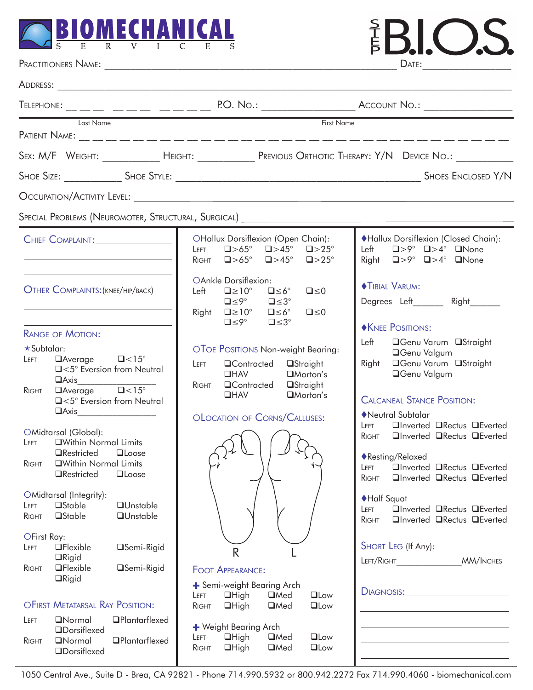

| <b>SIOMECHANICAL</b>                                                                                                                                                                                                                                                                                                                                                                                                                                                                                                                                                                                                                                                                                     |                                                                                                                                                                                                                                                                                                                                                             | SIC)                                                                                                                                                                                                                                                                                                                                                                                                                                                                                                                                                                                    |
|----------------------------------------------------------------------------------------------------------------------------------------------------------------------------------------------------------------------------------------------------------------------------------------------------------------------------------------------------------------------------------------------------------------------------------------------------------------------------------------------------------------------------------------------------------------------------------------------------------------------------------------------------------------------------------------------------------|-------------------------------------------------------------------------------------------------------------------------------------------------------------------------------------------------------------------------------------------------------------------------------------------------------------------------------------------------------------|-----------------------------------------------------------------------------------------------------------------------------------------------------------------------------------------------------------------------------------------------------------------------------------------------------------------------------------------------------------------------------------------------------------------------------------------------------------------------------------------------------------------------------------------------------------------------------------------|
|                                                                                                                                                                                                                                                                                                                                                                                                                                                                                                                                                                                                                                                                                                          |                                                                                                                                                                                                                                                                                                                                                             | DATE:                                                                                                                                                                                                                                                                                                                                                                                                                                                                                                                                                                                   |
|                                                                                                                                                                                                                                                                                                                                                                                                                                                                                                                                                                                                                                                                                                          |                                                                                                                                                                                                                                                                                                                                                             |                                                                                                                                                                                                                                                                                                                                                                                                                                                                                                                                                                                         |
|                                                                                                                                                                                                                                                                                                                                                                                                                                                                                                                                                                                                                                                                                                          | Telephone: __ __ __ __ __ __ __ __ __ P.O. No.: __________________ Account No.: ___________________                                                                                                                                                                                                                                                         |                                                                                                                                                                                                                                                                                                                                                                                                                                                                                                                                                                                         |
| Last Name                                                                                                                                                                                                                                                                                                                                                                                                                                                                                                                                                                                                                                                                                                | First Name                                                                                                                                                                                                                                                                                                                                                  |                                                                                                                                                                                                                                                                                                                                                                                                                                                                                                                                                                                         |
|                                                                                                                                                                                                                                                                                                                                                                                                                                                                                                                                                                                                                                                                                                          | Sex: M/F Weight: _____________ Height: ____________ Previous Orthotic Therapy: Y/N Device No.: _________                                                                                                                                                                                                                                                    |                                                                                                                                                                                                                                                                                                                                                                                                                                                                                                                                                                                         |
|                                                                                                                                                                                                                                                                                                                                                                                                                                                                                                                                                                                                                                                                                                          |                                                                                                                                                                                                                                                                                                                                                             | <b>SHOES ENCLOSED Y/N</b>                                                                                                                                                                                                                                                                                                                                                                                                                                                                                                                                                               |
|                                                                                                                                                                                                                                                                                                                                                                                                                                                                                                                                                                                                                                                                                                          |                                                                                                                                                                                                                                                                                                                                                             |                                                                                                                                                                                                                                                                                                                                                                                                                                                                                                                                                                                         |
|                                                                                                                                                                                                                                                                                                                                                                                                                                                                                                                                                                                                                                                                                                          | Special Problems (Neuromoter, Structural, Surgical) ____________________________                                                                                                                                                                                                                                                                            |                                                                                                                                                                                                                                                                                                                                                                                                                                                                                                                                                                                         |
| CHIEF COMPLAINT:                                                                                                                                                                                                                                                                                                                                                                                                                                                                                                                                                                                                                                                                                         | OHallux Dorsiflexion (Open Chain):<br>$\Box > 65^{\circ}$ $\Box > 45^{\circ}$ $\Box > 25^{\circ}$<br>LEFT<br>$\Box > 65^{\circ}$ $\Box > 45^{\circ}$ $\Box > 25^{\circ}$<br>RIGHT                                                                                                                                                                           | ◆Hallux Dorsiflexion (Closed Chain):<br>Left $\Box > 9^{\circ}$ $\Box > 4^{\circ}$ $\Box$ None<br>Right $\Box > 9^{\circ}$ $\Box > 4^{\circ}$ $\Box$ None                                                                                                                                                                                                                                                                                                                                                                                                                               |
| <b>OTHER COMPLAINTS: (KNEE/HIP/BACK)</b>                                                                                                                                                                                                                                                                                                                                                                                                                                                                                                                                                                                                                                                                 | OAnkle Dorsiflexion:<br>$\square \leq 6^\circ$<br>Left<br>$\square \ge 10^\circ$<br>$\square \leq 0$<br>$\square \leq 9^\circ$<br>$\square \leq 3^\circ$<br>Right $\Box \ge 10^\circ$ $\Box \le 6^\circ$<br>$\square \leq 0$<br>$\square \leq 9^\circ$<br>$\square \leq 3^\circ$                                                                            | <b>TIBIAL VARUM:</b><br>Degrees Left________ Right_______                                                                                                                                                                                                                                                                                                                                                                                                                                                                                                                               |
| <b>RANGE OF MOTION:</b><br>$\star$ Subtalar:<br>$\Box$ Average $\Box$ < 15°<br>LEFT<br>□<5° Eversion from Neutral<br>$\Box$ Axis<br>$\sqrt{\frac{1}{2} \text{Average}}$<br>RIGHT<br>□<5° Eversion from Neutral<br>$\Box$ Axis<br>OMidtarsal (Global):<br><b>OWithin Normal Limits</b><br>LEFT<br><b>QRestricted</b><br>$\Box$ Loose<br><b>QWithin Normal Limits</b><br>RIGHT<br><b>QRestricted</b><br><b>QLoose</b><br>OMidtarsal (Integrity):<br><b>a</b> Stable<br><b>QUnstable</b><br>LEFT<br>$\square$ Stable<br><b>QUnstable</b><br><b>RIGHT</b><br>OFirst Ray:<br>$\Box$ Flexible<br><b>□Semi-Rigid</b><br>LEFT<br>$\Box$ Rigid<br><b>OFlexible</b><br><b>□Semi-Rigid</b><br>RIGHT<br>$\Box$ Rigid | OTOE POSITIONS Non-weight Bearing:<br><b>QContracted</b><br>LEFT<br><b>□Straight</b><br>$I$ HAV<br>$\Box$ Morton's<br><b>QContracted</b><br>RIGHT<br>□Straight<br>$\Box$ Morton's<br>$\Box$ HAV<br>OLOCATION OF CORNS/CALLUSES:<br>$\mathsf{R}$<br><b>FOOT APPEARANCE:</b><br>+ Semi-weight Bearing Arch<br>$\Box$ Low<br>$\Box$ High<br>$\Box$ Med<br>LEFT | <b>NEE POSITIONS:</b><br>Left <b>Genu Varum QStraight</b><br>□Genu Valgum<br>□Genu Varum □Straight<br>Right<br><b>OGenu Valgum</b><br><b>CALCANEAL STANCE POSITION:</b><br>Neutral Subtalar<br>□Inverted □Rectus □Everted<br>Leet.<br>□Inverted □Rectus □Everted<br>RIGHT<br>◆ Resting/Relaxed<br>□Inverted □Rectus □Everted<br><b>LEFT</b><br>□Inverted □Rectus □Everted<br>RIGHT<br>♦Half Squat<br>□Inverted □Rectus □Everted<br><b>LEFT</b><br><b>QInverted QRectus QEverted</b><br>RIGHT<br>SHORT LEG (If Any):<br>LEFT/RIGHT<br><b>MM/INCHES</b><br>DIAGNOSIS: <b>Example 2014</b> |
| OFIRST METATARSAL RAY POSITION:<br><b>ONormal</b><br><b>OPlantarflexed</b><br>LEFT<br><b>ODorsiflexed</b><br><b>OPlantarflexed</b><br><b>ONormal</b><br>RIGHT<br><b>ODorsiflexed</b>                                                                                                                                                                                                                                                                                                                                                                                                                                                                                                                     | $\Box$ High<br>$\Box$ Med<br>$\Box$ Low<br>RIGHT<br>+ Weight Bearing Arch<br>$\Box$ High<br>$\Box$ Med<br><b>QLow</b><br>LEFT<br>$\Box$ High<br>$\Box$ Med<br>$\Box$ Low<br>RIGHT                                                                                                                                                                           |                                                                                                                                                                                                                                                                                                                                                                                                                                                                                                                                                                                         |

1050 Central Ave., Suite D - Brea, CA 92821 - Phone 714.990.5932 or 800.942.2272 Fax 714.990.4060 - biomechanical.com